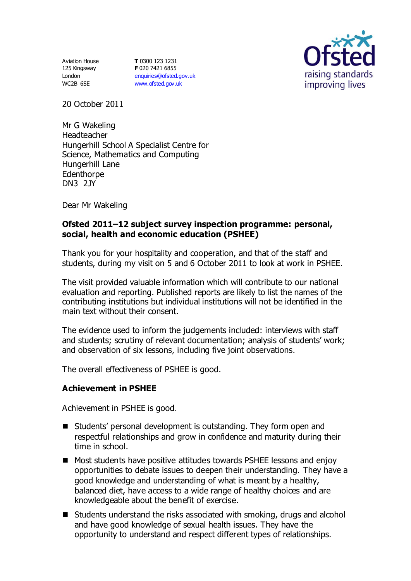Aviation House 125 Kingsway London WC2B 6SE

**T** 0300 123 1231 **F** 020 7421 6855 [enquiries@ofsted.gov.uk](mailto:enquiries@ofsted.gov.uk) [www.ofsted.gov.uk](http://www.ofsted.gov.uk/)



20 October 2011

Mr G Wakeling Headteacher Hungerhill School A Specialist Centre for Science, Mathematics and Computing Hungerhill Lane **Edenthorpe** DN3 2JY

Dear Mr Wakeling

### **Ofsted 2011–12 subject survey inspection programme: personal, social, health and economic education (PSHEE)**

Thank you for your hospitality and cooperation, and that of the staff and students, during my visit on 5 and 6 October 2011 to look at work in PSHEE.

The visit provided valuable information which will contribute to our national evaluation and reporting. Published reports are likely to list the names of the contributing institutions but individual institutions will not be identified in the main text without their consent.

The evidence used to inform the judgements included: interviews with staff and students; scrutiny of relevant documentation; analysis of students' work; and observation of six lessons, including five joint observations.

The overall effectiveness of PSHEE is good.

### **Achievement in PSHEE**

Achievement in PSHEE is good.

- Students' personal development is outstanding. They form open and respectful relationships and grow in confidence and maturity during their time in school.
- Most students have positive attitudes towards PSHEE lessons and enjoy opportunities to debate issues to deepen their understanding. They have a good knowledge and understanding of what is meant by a healthy, balanced diet, have access to a wide range of healthy choices and are knowledgeable about the benefit of exercise.
- Students understand the risks associated with smoking, drugs and alcohol and have good knowledge of sexual health issues. They have the opportunity to understand and respect different types of relationships.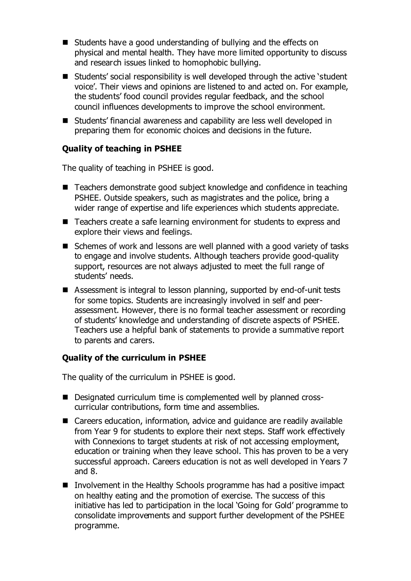- Students have a good understanding of bullying and the effects on physical and mental health. They have more limited opportunity to discuss and research issues linked to homophobic bullying.
- Students' social responsibility is well developed through the active 'student voice'. Their views and opinions are listened to and acted on. For example, the students' food council provides regular feedback, and the school council influences developments to improve the school environment.
- Students' financial awareness and capability are less well developed in preparing them for economic choices and decisions in the future.

# **Quality of teaching in PSHEE**

The quality of teaching in PSHEE is good.

- Teachers demonstrate good subject knowledge and confidence in teaching PSHEE. Outside speakers, such as magistrates and the police, bring a wider range of expertise and life experiences which students appreciate.
- Teachers create a safe learning environment for students to express and explore their views and feelings.
- Schemes of work and lessons are well planned with a good variety of tasks to engage and involve students. Although teachers provide good-quality support, resources are not always adjusted to meet the full range of students' needs.
- Assessment is integral to lesson planning, supported by end-of-unit tests for some topics. Students are increasingly involved in self and peerassessment. However, there is no formal teacher assessment or recording of students' knowledge and understanding of discrete aspects of PSHEE. Teachers use a helpful bank of statements to provide a summative report to parents and carers.

### **Quality of the curriculum in PSHEE**

The quality of the curriculum in PSHEE is good.

- Designated curriculum time is complemented well by planned crosscurricular contributions, form time and assemblies.
- Careers education, information, advice and guidance are readily available from Year 9 for students to explore their next steps. Staff work effectively with Connexions to target students at risk of not accessing employment, education or training when they leave school. This has proven to be a very successful approach. Careers education is not as well developed in Years 7 and 8.
- Involvement in the Healthy Schools programme has had a positive impact on healthy eating and the promotion of exercise. The success of this initiative has led to participation in the local 'Going for Gold' programme to consolidate improvements and support further development of the PSHEE programme.